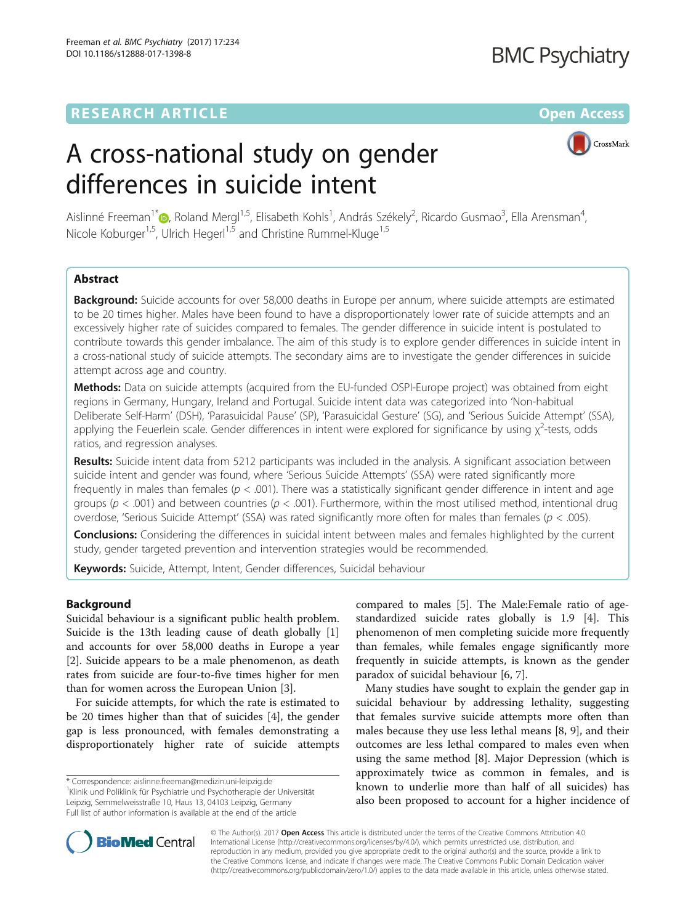## **RESEARCH ARTICLE External Structure Community Community Community Community Community Community Community Community**

# **BMC Psychiatry**

# A cross-national study on gender differences in suicide intent



Aislinné Freeman<sup>1\*</sup>®[,](http://orcid.org/0000-0002-2302-5783) Roland Mergl<sup>1,5</sup>, Elisabeth Kohls<sup>1</sup>, András Székely<sup>2</sup>, Ricardo Gusmao<sup>3</sup>, Ella Arensman<sup>4</sup> , Nicole Koburger<sup>1,5</sup>, Ulrich Hegerl<sup>1,5</sup> and Christine Rummel-Kluge<sup>1,5</sup>

## Abstract

**Background:** Suicide accounts for over 58,000 deaths in Europe per annum, where suicide attempts are estimated to be 20 times higher. Males have been found to have a disproportionately lower rate of suicide attempts and an excessively higher rate of suicides compared to females. The gender difference in suicide intent is postulated to contribute towards this gender imbalance. The aim of this study is to explore gender differences in suicide intent in a cross-national study of suicide attempts. The secondary aims are to investigate the gender differences in suicide attempt across age and country.

**Methods:** Data on suicide attempts (acquired from the EU-funded OSPI-Europe project) was obtained from eight regions in Germany, Hungary, Ireland and Portugal. Suicide intent data was categorized into 'Non-habitual Deliberate Self-Harm' (DSH), 'Parasuicidal Pause' (SP), 'Parasuicidal Gesture' (SG), and 'Serious Suicide Attempt' (SSA), applying the Feuerlein scale. Gender differences in intent were explored for significance by using  $\chi^2$ -tests, odds ratios, and regression analyses.

Results: Suicide intent data from 5212 participants was included in the analysis. A significant association between suicide intent and gender was found, where 'Serious Suicide Attempts' (SSA) were rated significantly more frequently in males than females ( $p < .001$ ). There was a statistically significant gender difference in intent and age groups ( $p < .001$ ) and between countries ( $p < .001$ ). Furthermore, within the most utilised method, intentional drug overdose, 'Serious Suicide Attempt' (SSA) was rated significantly more often for males than females ( $p < .005$ ).

Conclusions: Considering the differences in suicidal intent between males and females highlighted by the current study, gender targeted prevention and intervention strategies would be recommended.

Keywords: Suicide, Attempt, Intent, Gender differences, Suicidal behaviour

## Background

Suicidal behaviour is a significant public health problem. Suicide is the 13th leading cause of death globally [\[1](#page-9-0)] and accounts for over 58,000 deaths in Europe a year [[2\]](#page-9-0). Suicide appears to be a male phenomenon, as death rates from suicide are four-to-five times higher for men than for women across the European Union [\[3](#page-9-0)].

For suicide attempts, for which the rate is estimated to be 20 times higher than that of suicides [[4\]](#page-9-0), the gender gap is less pronounced, with females demonstrating a disproportionately higher rate of suicide attempts

compared to males [[5\]](#page-9-0). The Male:Female ratio of agestandardized suicide rates globally is 1.9 [[4\]](#page-9-0). This phenomenon of men completing suicide more frequently than females, while females engage significantly more frequently in suicide attempts, is known as the gender paradox of suicidal behaviour [[6](#page-9-0), [7](#page-9-0)].

Many studies have sought to explain the gender gap in suicidal behaviour by addressing lethality, suggesting that females survive suicide attempts more often than males because they use less lethal means [\[8, 9](#page-9-0)], and their outcomes are less lethal compared to males even when using the same method [\[8](#page-9-0)]. Major Depression (which is approximately twice as common in females, and is known to underlie more than half of all suicides) has also been proposed to account for a higher incidence of



© The Author(s). 2017 **Open Access** This article is distributed under the terms of the Creative Commons Attribution 4.0 International License [\(http://creativecommons.org/licenses/by/4.0/](http://creativecommons.org/licenses/by/4.0/)), which permits unrestricted use, distribution, and reproduction in any medium, provided you give appropriate credit to the original author(s) and the source, provide a link to the Creative Commons license, and indicate if changes were made. The Creative Commons Public Domain Dedication waiver [\(http://creativecommons.org/publicdomain/zero/1.0/](http://creativecommons.org/publicdomain/zero/1.0/)) applies to the data made available in this article, unless otherwise stated.

<sup>\*</sup> Correspondence: [aislinne.freeman@medizin.uni-leipzig.de](mailto:aislinne.freeman@medizin.uni-leipzig.de) <sup>1</sup>

Klinik und Poliklinik für Psychiatrie und Psychotherapie der Universität Leipzig, Semmelweisstraße 10, Haus 13, 04103 Leipzig, Germany Full list of author information is available at the end of the article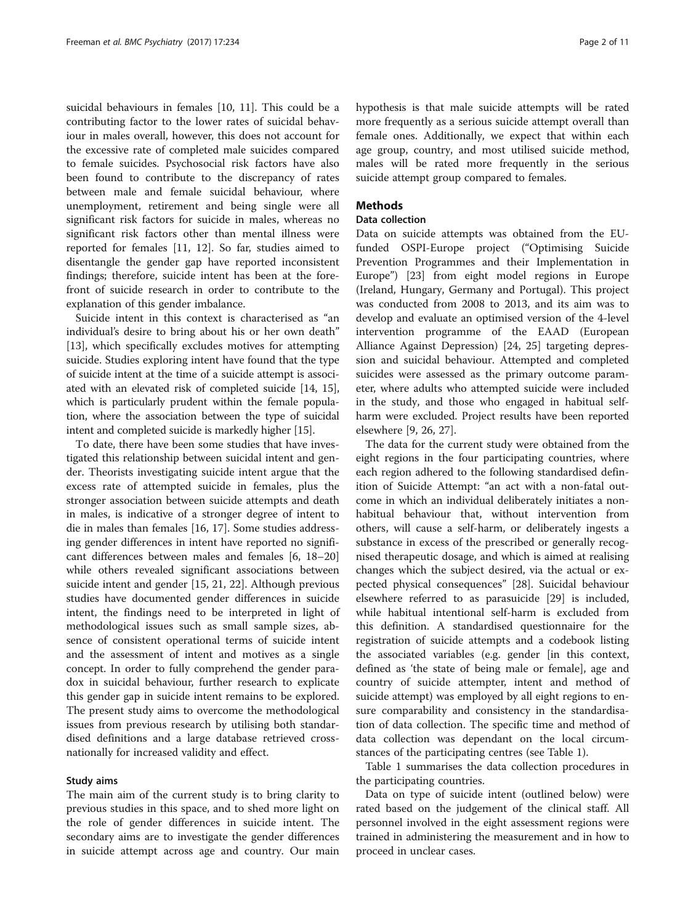suicidal behaviours in females [\[10, 11\]](#page-9-0). This could be a contributing factor to the lower rates of suicidal behaviour in males overall, however, this does not account for the excessive rate of completed male suicides compared to female suicides. Psychosocial risk factors have also been found to contribute to the discrepancy of rates between male and female suicidal behaviour, where unemployment, retirement and being single were all significant risk factors for suicide in males, whereas no significant risk factors other than mental illness were reported for females [\[11, 12\]](#page-9-0). So far, studies aimed to disentangle the gender gap have reported inconsistent findings; therefore, suicide intent has been at the forefront of suicide research in order to contribute to the explanation of this gender imbalance.

Suicide intent in this context is characterised as "an individual's desire to bring about his or her own death" [[13\]](#page-9-0), which specifically excludes motives for attempting suicide. Studies exploring intent have found that the type of suicide intent at the time of a suicide attempt is associated with an elevated risk of completed suicide [\[14, 15](#page-9-0)], which is particularly prudent within the female population, where the association between the type of suicidal intent and completed suicide is markedly higher [[15](#page-9-0)].

To date, there have been some studies that have investigated this relationship between suicidal intent and gender. Theorists investigating suicide intent argue that the excess rate of attempted suicide in females, plus the stronger association between suicide attempts and death in males, is indicative of a stronger degree of intent to die in males than females [[16, 17](#page-9-0)]. Some studies addressing gender differences in intent have reported no significant differences between males and females [\[6](#page-9-0), [18](#page-9-0)–[20](#page-9-0)] while others revealed significant associations between suicide intent and gender [[15, 21](#page-9-0), [22](#page-9-0)]. Although previous studies have documented gender differences in suicide intent, the findings need to be interpreted in light of methodological issues such as small sample sizes, absence of consistent operational terms of suicide intent and the assessment of intent and motives as a single concept. In order to fully comprehend the gender paradox in suicidal behaviour, further research to explicate this gender gap in suicide intent remains to be explored. The present study aims to overcome the methodological issues from previous research by utilising both standardised definitions and a large database retrieved crossnationally for increased validity and effect.

#### Study aims

The main aim of the current study is to bring clarity to previous studies in this space, and to shed more light on the role of gender differences in suicide intent. The secondary aims are to investigate the gender differences in suicide attempt across age and country. Our main hypothesis is that male suicide attempts will be rated more frequently as a serious suicide attempt overall than female ones. Additionally, we expect that within each age group, country, and most utilised suicide method, males will be rated more frequently in the serious suicide attempt group compared to females.

## **Methods**

## Data collection

Data on suicide attempts was obtained from the EUfunded OSPI-Europe project ("Optimising Suicide Prevention Programmes and their Implementation in Europe") [[23\]](#page-9-0) from eight model regions in Europe (Ireland, Hungary, Germany and Portugal). This project was conducted from 2008 to 2013, and its aim was to develop and evaluate an optimised version of the 4-level intervention programme of the EAAD (European Alliance Against Depression) [[24, 25](#page-9-0)] targeting depression and suicidal behaviour. Attempted and completed suicides were assessed as the primary outcome parameter, where adults who attempted suicide were included in the study, and those who engaged in habitual selfharm were excluded. Project results have been reported elsewhere [[9, 26](#page-9-0), [27](#page-10-0)].

The data for the current study were obtained from the eight regions in the four participating countries, where each region adhered to the following standardised definition of Suicide Attempt: "an act with a non-fatal outcome in which an individual deliberately initiates a nonhabitual behaviour that, without intervention from others, will cause a self-harm, or deliberately ingests a substance in excess of the prescribed or generally recognised therapeutic dosage, and which is aimed at realising changes which the subject desired, via the actual or expected physical consequences" [[28](#page-10-0)]. Suicidal behaviour elsewhere referred to as parasuicide [[29\]](#page-10-0) is included, while habitual intentional self-harm is excluded from this definition. A standardised questionnaire for the registration of suicide attempts and a codebook listing the associated variables (e.g. gender [in this context, defined as 'the state of being male or female], age and country of suicide attempter, intent and method of suicide attempt) was employed by all eight regions to ensure comparability and consistency in the standardisation of data collection. The specific time and method of data collection was dependant on the local circumstances of the participating centres (see Table [1](#page-2-0)).

Table [1](#page-2-0) summarises the data collection procedures in the participating countries.

Data on type of suicide intent (outlined below) were rated based on the judgement of the clinical staff. All personnel involved in the eight assessment regions were trained in administering the measurement and in how to proceed in unclear cases.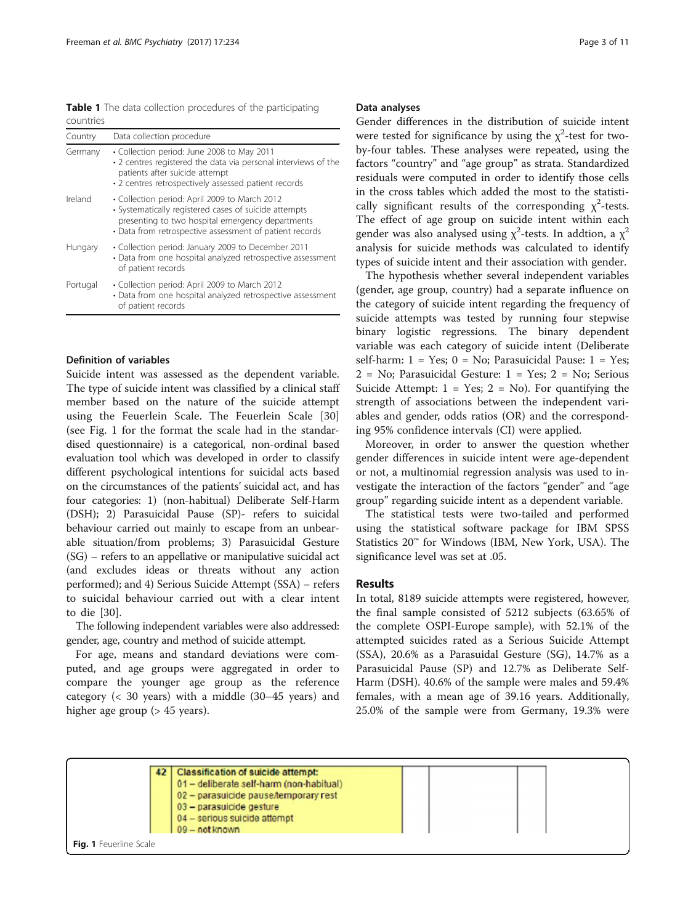<span id="page-2-0"></span>Table 1 The data collection procedures of the participating countries

| Country  | Data collection procedure                                                                                                                                                                                             |  |  |  |  |
|----------|-----------------------------------------------------------------------------------------------------------------------------------------------------------------------------------------------------------------------|--|--|--|--|
| Germany  | • Collection period: June 2008 to May 2011<br>• 2 centres registered the data via personal interviews of the<br>patients after suicide attempt<br>• 2 centres retrospectively assessed patient records                |  |  |  |  |
| Ireland  | • Collection period: April 2009 to March 2012<br>• Systematically registered cases of suicide attempts<br>presenting to two hospital emergency departments<br>• Data from retrospective assessment of patient records |  |  |  |  |
| Hungary  | • Collection period: January 2009 to December 2011<br>• Data from one hospital analyzed retrospective assessment<br>of patient records                                                                                |  |  |  |  |
| Portugal | • Collection period: April 2009 to March 2012<br>• Data from one hospital analyzed retrospective assessment<br>of patient records                                                                                     |  |  |  |  |

#### Definition of variables

Suicide intent was assessed as the dependent variable. The type of suicide intent was classified by a clinical staff member based on the nature of the suicide attempt using the Feuerlein Scale. The Feuerlein Scale [\[30](#page-10-0)] (see Fig. 1 for the format the scale had in the standardised questionnaire) is a categorical, non-ordinal based evaluation tool which was developed in order to classify different psychological intentions for suicidal acts based on the circumstances of the patients' suicidal act, and has four categories: 1) (non-habitual) Deliberate Self-Harm (DSH); 2) Parasuicidal Pause (SP)- refers to suicidal behaviour carried out mainly to escape from an unbearable situation/from problems; 3) Parasuicidal Gesture (SG) – refers to an appellative or manipulative suicidal act (and excludes ideas or threats without any action performed); and 4) Serious Suicide Attempt (SSA) – refers to suicidal behaviour carried out with a clear intent to die [[30\]](#page-10-0).

The following independent variables were also addressed: gender, age, country and method of suicide attempt.

For age, means and standard deviations were computed, and age groups were aggregated in order to compare the younger age group as the reference category (< 30 years) with a middle (30–45 years) and higher age group (> 45 years).

#### Data analyses

Gender differences in the distribution of suicide intent were tested for significance by using the  $\chi^2$ -test for twoby-four tables. These analyses were repeated, using the factors "country" and "age group" as strata. Standardized residuals were computed in order to identify those cells in the cross tables which added the most to the statistically significant results of the corresponding  $\chi^2$ -tests. The effect of age group on suicide intent within each gender was also analysed using  $\chi^2$ -tests. In addtion, a  $\chi^2$ analysis for suicide methods was calculated to identify types of suicide intent and their association with gender.

The hypothesis whether several independent variables (gender, age group, country) had a separate influence on the category of suicide intent regarding the frequency of suicide attempts was tested by running four stepwise binary logistic regressions. The binary dependent variable was each category of suicide intent (Deliberate self-harm:  $1 = Yes$ ;  $0 = No$ ; Parasuicidal Pause:  $1 = Yes$ ; 2 = No; Parasuicidal Gesture: 1 = Yes; 2 = No; Serious Suicide Attempt:  $1 = Yes; 2 = No$ . For quantifying the strength of associations between the independent variables and gender, odds ratios (OR) and the corresponding 95% confidence intervals (CI) were applied.

Moreover, in order to answer the question whether gender differences in suicide intent were age-dependent or not, a multinomial regression analysis was used to investigate the interaction of the factors "gender" and "age group" regarding suicide intent as a dependent variable.

The statistical tests were two-tailed and performed using the statistical software package for IBM SPSS Statistics 20™ for Windows (IBM, New York, USA). The significance level was set at .05.

#### Results

In total, 8189 suicide attempts were registered, however, the final sample consisted of 5212 subjects (63.65% of the complete OSPI-Europe sample), with 52.1% of the attempted suicides rated as a Serious Suicide Attempt (SSA), 20.6% as a Parasuidal Gesture (SG), 14.7% as a Parasuicidal Pause (SP) and 12.7% as Deliberate Self-Harm (DSH). 40.6% of the sample were males and 59.4% females, with a mean age of 39.16 years. Additionally, 25.0% of the sample were from Germany, 19.3% were

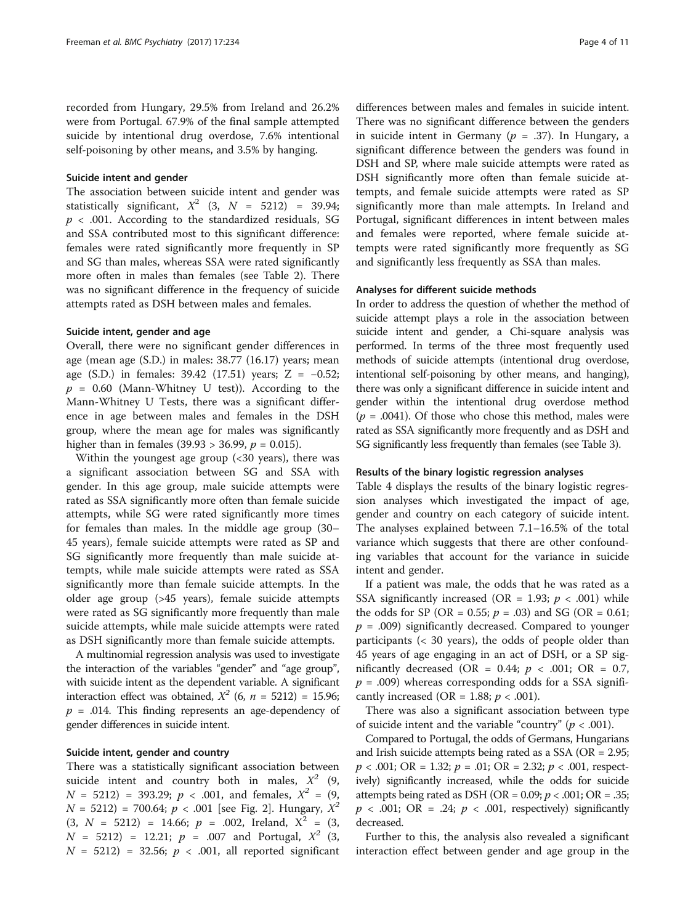recorded from Hungary, 29.5% from Ireland and 26.2% were from Portugal. 67.9% of the final sample attempted suicide by intentional drug overdose, 7.6% intentional self-poisoning by other means, and 3.5% by hanging.

#### Suicide intent and gender

The association between suicide intent and gender was statistically significant,  $X^2$  (3,  $N = 5212$ ) = 39.94;  $p < .001$ . According to the standardized residuals, SG and SSA contributed most to this significant difference: females were rated significantly more frequently in SP and SG than males, whereas SSA were rated significantly more often in males than females (see Table [2\)](#page-4-0). There was no significant difference in the frequency of suicide attempts rated as DSH between males and females.

#### Suicide intent, gender and age

Overall, there were no significant gender differences in age (mean age (S.D.) in males: 38.77 (16.17) years; mean age (S.D.) in females:  $39.42$  (17.51) years; Z = -0.52;  $p = 0.60$  (Mann-Whitney U test)). According to the Mann-Whitney U Tests, there was a significant difference in age between males and females in the DSH group, where the mean age for males was significantly higher than in females (39.93 > 36.99,  $p = 0.015$ ).

Within the youngest age group (<30 years), there was a significant association between SG and SSA with gender. In this age group, male suicide attempts were rated as SSA significantly more often than female suicide attempts, while SG were rated significantly more times for females than males. In the middle age group (30– 45 years), female suicide attempts were rated as SP and SG significantly more frequently than male suicide attempts, while male suicide attempts were rated as SSA significantly more than female suicide attempts. In the older age group (>45 years), female suicide attempts were rated as SG significantly more frequently than male suicide attempts, while male suicide attempts were rated as DSH significantly more than female suicide attempts.

A multinomial regression analysis was used to investigate the interaction of the variables "gender" and "age group", with suicide intent as the dependent variable. A significant interaction effect was obtained,  $X^2$  (6,  $n = 5212$ ) = 15.96;  $p = .014$ . This finding represents an age-dependency of gender differences in suicide intent.

## Suicide intent, gender and country

There was a statistically significant association between suicide intent and country both in males,  $X^2$  (9,  $N = 5212$ ) = 393.29;  $p < .001$ , and females,  $X^2 = (9, 1)$  $N = 5212$ ) = 700.64;  $p < .001$  [see Fig. [2](#page-5-0)]. Hungary,  $X^2$  $(3, N = 5212) = 14.66; p = .002$ , Ireland,  $X^2 = (3,$  $N = 5212$ ) = 12.21;  $p = .007$  and Portugal,  $X^2$  (3,  $N = 5212$  = 32.56;  $p < .001$ , all reported significant

differences between males and females in suicide intent. There was no significant difference between the genders in suicide intent in Germany ( $p = .37$ ). In Hungary, a significant difference between the genders was found in DSH and SP, where male suicide attempts were rated as DSH significantly more often than female suicide attempts, and female suicide attempts were rated as SP significantly more than male attempts. In Ireland and Portugal, significant differences in intent between males and females were reported, where female suicide attempts were rated significantly more frequently as SG and significantly less frequently as SSA than males.

#### Analyses for different suicide methods

In order to address the question of whether the method of suicide attempt plays a role in the association between suicide intent and gender, a Chi-square analysis was performed. In terms of the three most frequently used methods of suicide attempts (intentional drug overdose, intentional self-poisoning by other means, and hanging), there was only a significant difference in suicide intent and gender within the intentional drug overdose method  $(p = .0041)$ . Of those who chose this method, males were rated as SSA significantly more frequently and as DSH and SG significantly less frequently than females (see Table [3\)](#page-5-0).

#### Results of the binary logistic regression analyses

Table [4](#page-6-0) displays the results of the binary logistic regression analyses which investigated the impact of age, gender and country on each category of suicide intent. The analyses explained between 7.1–16.5% of the total variance which suggests that there are other confounding variables that account for the variance in suicide intent and gender.

If a patient was male, the odds that he was rated as a SSA significantly increased (OR = 1.93;  $p < .001$ ) while the odds for SP (OR = 0.55;  $p = .03$ ) and SG (OR = 0.61;  $p = .009$ ) significantly decreased. Compared to younger participants (< 30 years), the odds of people older than 45 years of age engaging in an act of DSH, or a SP significantly decreased (OR = 0.44;  $p$  < .001; OR = 0.7,  $p = .009$ ) whereas corresponding odds for a SSA significantly increased (OR = 1.88;  $p < .001$ ).

There was also a significant association between type of suicide intent and the variable "country" ( $p < .001$ ).

Compared to Portugal, the odds of Germans, Hungarians and Irish suicide attempts being rated as a SSA (OR = 2.95;  $p < .001$ ; OR = 1.32;  $p = .01$ ; OR = 2.32;  $p < .001$ , respectively) significantly increased, while the odds for suicide attempts being rated as DSH (OR =  $0.09$ ;  $p < .001$ ; OR = .35;  $p \ll 0.001$ ; OR = .24;  $p \ll 0.001$ , respectively) significantly decreased.

Further to this, the analysis also revealed a significant interaction effect between gender and age group in the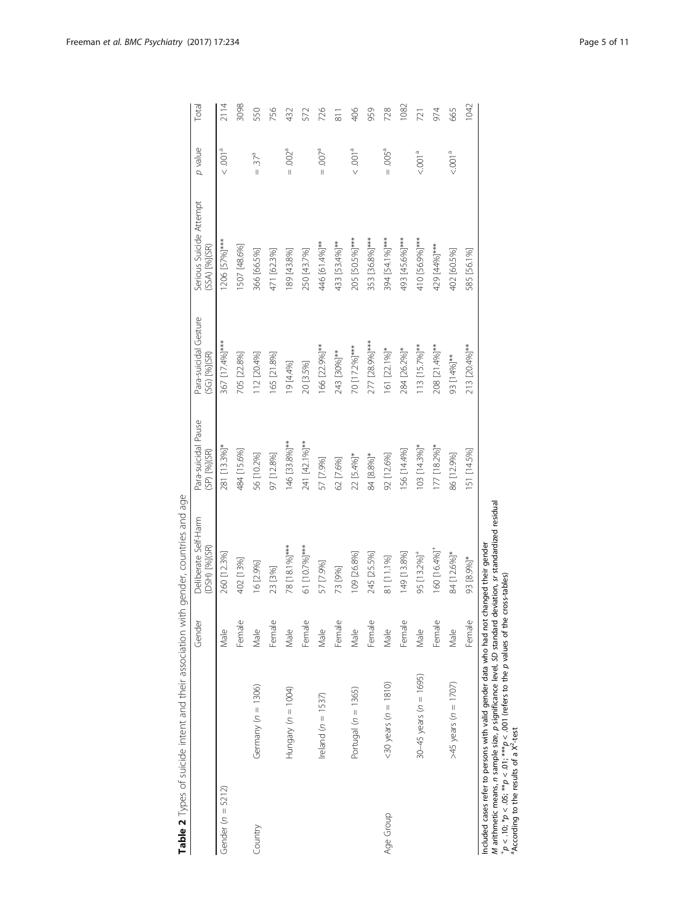<span id="page-4-0"></span>

|                                                     |                                                                                                                                                                                                                                                                                                         | Gender                                 | Deliberate Self-Harm<br>(DSH) [%](SR) | Para-suicidal Pause<br>(SP) [%](SR) | Para-suicidal Gesture<br>(SG) [%](SR) | Serious Suicide Attempt<br>(SSA) [%](SR) | p value                            | Total          |
|-----------------------------------------------------|---------------------------------------------------------------------------------------------------------------------------------------------------------------------------------------------------------------------------------------------------------------------------------------------------------|----------------------------------------|---------------------------------------|-------------------------------------|---------------------------------------|------------------------------------------|------------------------------------|----------------|
| Gender ( $n = 5212$ )                               |                                                                                                                                                                                                                                                                                                         | Male                                   | 260 [12.3%]                           | 281 [13.3%]*                        | 367 [17.4%]***                        | 1206 [57%] ***                           | $\sim 0.001$ <sup>a</sup>          | 2114           |
|                                                     |                                                                                                                                                                                                                                                                                                         | $\Omega$<br>Femal                      | 402 [13%]                             | 484 [15.6%]                         | 705 [22.8%]                           | 1507 [48.6%]                             |                                    | 3098           |
| Country                                             | Germany $(n = 1306)$                                                                                                                                                                                                                                                                                    | Male                                   | 16 [2.9%]                             | 56 [10.2%]                          | 112 [20.4%]                           | 366 [66.5%]                              | $=37a$                             | 550            |
|                                                     |                                                                                                                                                                                                                                                                                                         | Female                                 | 23 [3%]                               | 97 [12.8%]                          | 165 [21.8%]                           | 471 [62.3%]                              |                                    | 756            |
|                                                     | Hungary $(n = 1004)$                                                                                                                                                                                                                                                                                    | Male                                   | 78 [18.1%]***                         | 146 [33.8%]**                       | 19 [4.4%]                             | 189 [43.8%]                              | $= .002^a$                         | 432            |
|                                                     |                                                                                                                                                                                                                                                                                                         | Female                                 | 61 [10.7%]***                         | 241 [42.1%]**                       | 20 [3.5%]                             | 250 [43.7%]                              |                                    | 572            |
|                                                     | Ireland ( $n = 1537$ )                                                                                                                                                                                                                                                                                  | Male                                   | 57 [7.9%]                             | 57 [7.9%]                           | 166 [22.9%]**                         | 446 [61.4%]**                            | $-6007$<br>$\overline{\mathbf{I}}$ | 726            |
|                                                     |                                                                                                                                                                                                                                                                                                         | Female                                 | 73 [9%]                               | 62 [7.6%]                           | 243 [30%]**                           | 433 [53.4%]**                            |                                    | $\overline{5}$ |
|                                                     | Portugal $(n = 1365)$                                                                                                                                                                                                                                                                                   | Male                                   | 109 [26.8%]                           | 22 [5.4%]*                          | 70 [17.2%]***                         | 205 [50.5%]***                           | $\leq .001^\text{a}$               | 406            |
|                                                     |                                                                                                                                                                                                                                                                                                         | $\mathbf{\Omega}$<br>Femal             | 245 [25.5%]                           | 84 [8.8%]*                          | 277 [28.9%] ***                       | 353 [36.8%]***                           |                                    | 959            |
| Age Group                                           | $(20 \text{ years} (n = 1810))$                                                                                                                                                                                                                                                                         | Male                                   | 81 [11.1%]                            | 92 [12.6%]                          | 161 [22.1%]*                          | 394 [54.1%]***                           | $= .005^a$                         | 728            |
|                                                     |                                                                                                                                                                                                                                                                                                         | $\Omega$<br>Femal                      | 149 [13.8%]                           | 156 [14.4%]                         | 284 [26.2%]*                          | 493 [45.6%]***                           |                                    | 1082           |
|                                                     | 30-45 years ( $n = 1695$ )                                                                                                                                                                                                                                                                              | Male                                   | 95 [13.2%] <sup>+</sup>               | $103$ [14.3%]*                      | 113 [15.7%]**                         | 410 [56.9%]***                           | < 0.001 <sup>a</sup>               | 721            |
|                                                     |                                                                                                                                                                                                                                                                                                         | $\mathbf{\underline{\omega}}$<br>Femal | 160 [16.4%] <sup>+</sup>              | $177$ [18.2%]*                      | 208 [21.4%]**                         | 429 [44%] ***                            |                                    | 974            |
|                                                     | $>45$ years ( $n = 1707$ )                                                                                                                                                                                                                                                                              | Male                                   | 84 [12.6%]*                           | 86 [12.9%]                          | 93 [14%] **                           | 402 [60.5%]                              | < 001 <sup>a</sup>                 | 665            |
|                                                     |                                                                                                                                                                                                                                                                                                         | Female                                 | 93 [8.9%]*                            | 51 [14.5%]                          | 213 [20.4%]**                         | 585 [56.1%]                              |                                    | 1042           |
| "According to the results of a X <sup>2</sup> -test | M arithmetic means, n sample size, p significance level, SD standard deviation, sr standardized residual<br>Included cases refer to persons with valid gender data who had not changed their gender<br>$+p < 0.10; *p < 0.5; * *p < 0.01$ , $m \geq 0.001$ (refers to the p values of the cross-tables) |                                        |                                       |                                     |                                       |                                          |                                    |                |
|                                                     |                                                                                                                                                                                                                                                                                                         |                                        |                                       |                                     |                                       |                                          |                                    |                |

Table 2 Types of suicide intent and their association with gender, countries and age Table 2 Types of suicide intent and their association with gender, countries and age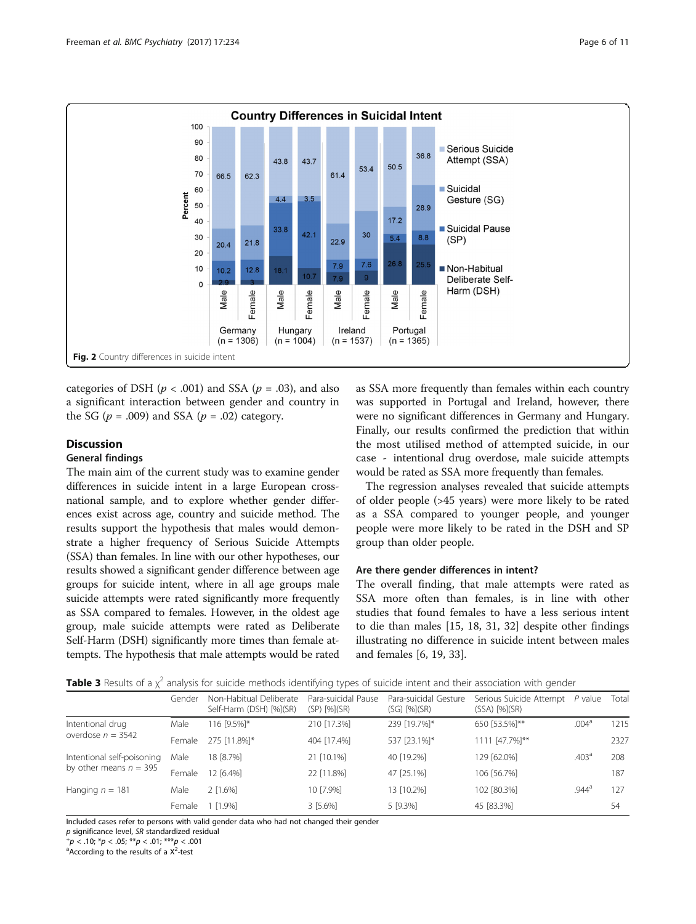<span id="page-5-0"></span>

categories of DSH ( $p < .001$ ) and SSA ( $p = .03$ ), and also a significant interaction between gender and country in the SG ( $p = .009$ ) and SSA ( $p = .02$ ) category.

## **Discussion**

## General findings

The main aim of the current study was to examine gender differences in suicide intent in a large European crossnational sample, and to explore whether gender differences exist across age, country and suicide method. The results support the hypothesis that males would demonstrate a higher frequency of Serious Suicide Attempts (SSA) than females. In line with our other hypotheses, our results showed a significant gender difference between age groups for suicide intent, where in all age groups male suicide attempts were rated significantly more frequently as SSA compared to females. However, in the oldest age group, male suicide attempts were rated as Deliberate Self-Harm (DSH) significantly more times than female attempts. The hypothesis that male attempts would be rated

as SSA more frequently than females within each country was supported in Portugal and Ireland, however, there were no significant differences in Germany and Hungary. Finally, our results confirmed the prediction that within the most utilised method of attempted suicide, in our case - intentional drug overdose, male suicide attempts would be rated as SSA more frequently than females.

The regression analyses revealed that suicide attempts of older people (>45 years) were more likely to be rated as a SSA compared to younger people, and younger people were more likely to be rated in the DSH and SP group than older people.

## Are there gender differences in intent?

The overall finding, that male attempts were rated as SSA more often than females, is in line with other studies that found females to have a less serious intent to die than males [[15, 18](#page-9-0), [31, 32](#page-10-0)] despite other findings illustrating no difference in suicide intent between males and females [\[6](#page-9-0), [19](#page-9-0), [33](#page-10-0)].

|                                                        |        |                                                    | $\sim$                              |                                           |                                                       |                   |       |
|--------------------------------------------------------|--------|----------------------------------------------------|-------------------------------------|-------------------------------------------|-------------------------------------------------------|-------------------|-------|
|                                                        | Gender | Non-Habitual Deliberate<br>Self-Harm (DSH) [%](SR) | Para-suicidal Pause<br>(SP) [%](SR) | Para-suicidal Gesture<br>$(SG)$ $[%](SR)$ | Serious Suicide Attempt P value<br>$(SSA)$ $[\%](SR)$ |                   | Total |
| Intentional drug<br>overdose $n = 3542$                | Male   | 116 [9.5%]*                                        | 210 [17.3%]                         | 239 [19.7%]*                              | 650 [53.5%]**                                         | .004 <sup>a</sup> | 1215  |
|                                                        | Female | 275 [11.8%]*                                       | 404 [17.4%]                         | 537 [23.1%]*                              | 1111 [47.7%]**                                        |                   | 2327  |
| Intentional self-poisoning<br>by other means $n = 395$ | Male   | 18 [8.7%]                                          | 21 [10.1%]                          | 40 [19.2%]                                | 129 [62.0%]                                           | .403 <sup>a</sup> | 208   |
|                                                        | Female | 12 [6.4%]                                          | 22 [11.8%]                          | 47 [25.1%]                                | 106 [56.7%]                                           |                   | 187   |
| Hanging $n = 181$                                      | Male   | $2$ [1.6%]                                         | 10 [7.9%]                           | 13 [10.2%]                                | 102 [80.3%]                                           | $.944^{\circ}$    | 127   |
|                                                        | Female | $1$ [1.9%]                                         | 3 [5.6%]                            | 5 [9.3%]                                  | 45 [83.3%]                                            |                   | 54    |

Included cases refer to persons with valid gender data who had not changed their gender

 $p$  significance level, SR standardized residual

 $p^+p < .10$ ; \* $p < .05$ ; \*\* $p < .01$ ; \*\*\* $p < .001$ 

According to the results of a  $X^2$ -test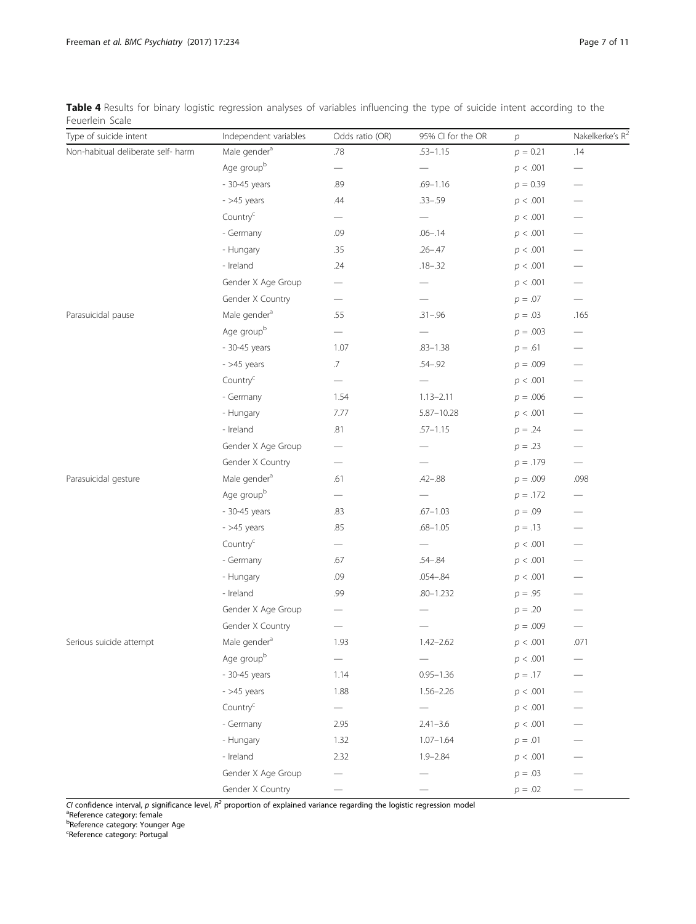<span id="page-6-0"></span>Table 4 Results for binary logistic regression analyses of variables influencing the type of suicide intent according to the Feuerlein Scale

| Type of suicide intent             | Independent variables    | Odds ratio (OR)                | 95% CI for the OR        | $\overline{p}$ | Nakelkerke's $R^2$             |
|------------------------------------|--------------------------|--------------------------------|--------------------------|----------------|--------------------------------|
| Non-habitual deliberate self- harm | Male gender <sup>a</sup> | .78                            | $.53 - 1.15$             | $p = 0.21$     | .14                            |
|                                    | Age groupb               | —                              |                          | p < .001       | —                              |
|                                    | - 30-45 years            | .89                            | $.69 - 1.16$             | $p = 0.39$     |                                |
|                                    | $-$ >45 years            | .44                            | $.33 - .59$              | p < .001       | -                              |
|                                    | Country <sup>c</sup>     |                                |                          | p < .001       |                                |
|                                    | - Germany                | .09                            | $.06 - .14$              | p < .001       |                                |
|                                    | - Hungary                | .35                            | $.26 - .47$              | p < .001       |                                |
|                                    | - Ireland                | .24                            | $.18 - .32$              | p < .001       |                                |
|                                    | Gender X Age Group       | —                              |                          | p < .001       |                                |
|                                    | Gender X Country         | $\qquad \qquad \longleftarrow$ |                          | $p = .07$      |                                |
| Parasuicidal pause                 | Male gender <sup>a</sup> | .55                            | $.31 - .96$              | $p = .03$      | .165                           |
|                                    | Age groupb               | $\overline{\phantom{0}}$       |                          | $p = .003$     |                                |
|                                    | - 30-45 years            | 1.07                           | $.83 - 1.38$             | $p = .61$      |                                |
|                                    | $-$ >45 years            | $.7\,$                         | $.54 - .92$              | $p = .009$     |                                |
|                                    | Country <sup>c</sup>     | $\qquad \qquad$                |                          | p < .001       |                                |
|                                    | - Germany                | 1.54                           | $1.13 - 2.11$            | $p = .006$     |                                |
|                                    | - Hungary                | 7.77                           | $5.87 - 10.28$           | p < .001       |                                |
|                                    | - Ireland                | .81                            | $.57 - 1.15$             | $p = .24$      |                                |
|                                    | Gender X Age Group       |                                |                          | $p = .23$      | $\qquad \qquad \longleftarrow$ |
|                                    | Gender X Country         | $\overline{\phantom{0}}$       |                          | $p = .179$     | $\overline{\phantom{0}}$       |
| Parasuicidal gesture               | Male gender <sup>a</sup> | .61                            | $.42 - .88$              | $p = .009$     | .098                           |
|                                    | Age groupb               | -                              |                          | $p = .172$     | $\overline{\phantom{0}}$       |
|                                    | - 30-45 years            | .83                            | $.67 - 1.03$             | $p = .09$      |                                |
|                                    | $-$ >45 years            | .85                            | $.68 - 1.05$             | $p = .13$      |                                |
|                                    | Country <sup>c</sup>     | $\qquad \qquad -$              | $\overline{\phantom{0}}$ | p < .001       | $\overline{\phantom{0}}$       |
|                                    | - Germany                | .67                            | $.54 - .84$              | p < .001       |                                |
|                                    | - Hungary                | .09                            | $.054 - .84$             | p < .001       |                                |
|                                    | - Ireland                | .99                            | $.80 - 1.232$            | $p = .95$      |                                |
|                                    | Gender X Age Group       |                                |                          | $p = .20$      |                                |
|                                    | Gender X Country         |                                |                          | $p = .009$     |                                |
| Serious suicide attempt            | Male gender <sup>a</sup> | 1.93                           | $1.42 - 2.62$            | p < .001       | .071                           |
|                                    | Age groupb               |                                |                          | p < .001       |                                |
|                                    | - 30-45 years            | 1.14                           | $0.95 - 1.36$            | $p = .17$      |                                |
|                                    | $-$ >45 years            | 1.88                           | $1.56 - 2.26$            | p < .001       |                                |
|                                    | Country <sup>c</sup>     |                                |                          | p < .001       |                                |
|                                    | - Germany                | 2.95                           | $2.41 - 3.6$             | p < .001       |                                |
|                                    | - Hungary                | 1.32                           | $1.07 - 1.64$            | $p = .01$      |                                |
|                                    | - Ireland                | 2.32                           | $1.9 - 2.84$             | p < .001       |                                |
|                                    | Gender X Age Group       |                                |                          | $p = .03$      |                                |
|                                    | Gender X Country         |                                |                          | $p = .02$      |                                |

CI confidence interval, p significance level,  $R^2$  proportion of explained variance regarding the logistic regression model

<sup>a</sup>Reference category: female<br><sup>b</sup>Reference category: Younger Age

<sup>c</sup>Reference category: Portugal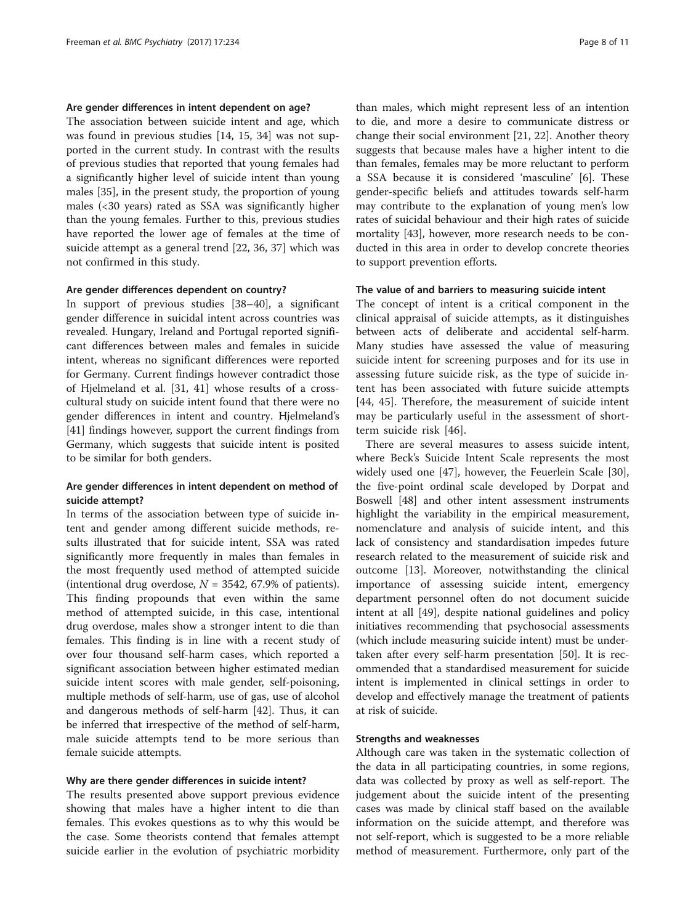### Are gender differences in intent dependent on age?

The association between suicide intent and age, which was found in previous studies [\[14](#page-9-0), [15,](#page-9-0) [34](#page-10-0)] was not supported in the current study. In contrast with the results of previous studies that reported that young females had a significantly higher level of suicide intent than young males [\[35\]](#page-10-0), in the present study, the proportion of young males (<30 years) rated as SSA was significantly higher than the young females. Further to this, previous studies have reported the lower age of females at the time of suicide attempt as a general trend [[22,](#page-9-0) [36, 37\]](#page-10-0) which was not confirmed in this study.

#### Are gender differences dependent on country?

In support of previous studies [\[38](#page-10-0)–[40\]](#page-10-0), a significant gender difference in suicidal intent across countries was revealed. Hungary, Ireland and Portugal reported significant differences between males and females in suicide intent, whereas no significant differences were reported for Germany. Current findings however contradict those of Hjelmeland et al. [\[31](#page-10-0), [41\]](#page-10-0) whose results of a crosscultural study on suicide intent found that there were no gender differences in intent and country. Hjelmeland's [[41\]](#page-10-0) findings however, support the current findings from Germany, which suggests that suicide intent is posited to be similar for both genders.

## Are gender differences in intent dependent on method of suicide attempt?

In terms of the association between type of suicide intent and gender among different suicide methods, results illustrated that for suicide intent, SSA was rated significantly more frequently in males than females in the most frequently used method of attempted suicide (intentional drug overdose,  $N = 3542$ , 67.9% of patients). This finding propounds that even within the same method of attempted suicide, in this case, intentional drug overdose, males show a stronger intent to die than females. This finding is in line with a recent study of over four thousand self-harm cases, which reported a significant association between higher estimated median suicide intent scores with male gender, self-poisoning, multiple methods of self-harm, use of gas, use of alcohol and dangerous methods of self-harm [[42\]](#page-10-0). Thus, it can be inferred that irrespective of the method of self-harm, male suicide attempts tend to be more serious than female suicide attempts.

#### Why are there gender differences in suicide intent?

The results presented above support previous evidence showing that males have a higher intent to die than females. This evokes questions as to why this would be the case. Some theorists contend that females attempt suicide earlier in the evolution of psychiatric morbidity than males, which might represent less of an intention to die, and more a desire to communicate distress or change their social environment [\[21](#page-9-0), [22](#page-9-0)]. Another theory suggests that because males have a higher intent to die than females, females may be more reluctant to perform a SSA because it is considered 'masculine' [[6\]](#page-9-0). These gender-specific beliefs and attitudes towards self-harm may contribute to the explanation of young men's low rates of suicidal behaviour and their high rates of suicide mortality [[43](#page-10-0)], however, more research needs to be conducted in this area in order to develop concrete theories to support prevention efforts.

#### The value of and barriers to measuring suicide intent

The concept of intent is a critical component in the clinical appraisal of suicide attempts, as it distinguishes between acts of deliberate and accidental self-harm. Many studies have assessed the value of measuring suicide intent for screening purposes and for its use in assessing future suicide risk, as the type of suicide intent has been associated with future suicide attempts [[44, 45](#page-10-0)]. Therefore, the measurement of suicide intent may be particularly useful in the assessment of shortterm suicide risk [[46\]](#page-10-0).

There are several measures to assess suicide intent, where Beck's Suicide Intent Scale represents the most widely used one [[47\]](#page-10-0), however, the Feuerlein Scale [\[30](#page-10-0)], the five-point ordinal scale developed by Dorpat and Boswell [\[48](#page-10-0)] and other intent assessment instruments highlight the variability in the empirical measurement, nomenclature and analysis of suicide intent, and this lack of consistency and standardisation impedes future research related to the measurement of suicide risk and outcome [[13](#page-9-0)]. Moreover, notwithstanding the clinical importance of assessing suicide intent, emergency department personnel often do not document suicide intent at all [\[49](#page-10-0)], despite national guidelines and policy initiatives recommending that psychosocial assessments (which include measuring suicide intent) must be undertaken after every self-harm presentation [\[50](#page-10-0)]. It is recommended that a standardised measurement for suicide intent is implemented in clinical settings in order to develop and effectively manage the treatment of patients at risk of suicide.

## Strengths and weaknesses

Although care was taken in the systematic collection of the data in all participating countries, in some regions, data was collected by proxy as well as self-report. The judgement about the suicide intent of the presenting cases was made by clinical staff based on the available information on the suicide attempt, and therefore was not self-report, which is suggested to be a more reliable method of measurement. Furthermore, only part of the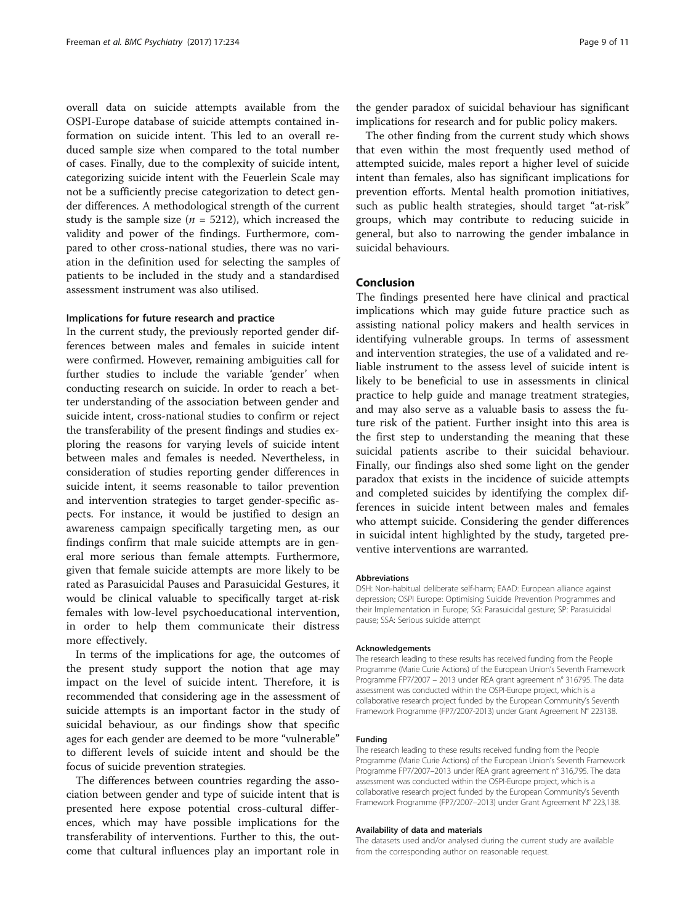overall data on suicide attempts available from the OSPI-Europe database of suicide attempts contained information on suicide intent. This led to an overall reduced sample size when compared to the total number of cases. Finally, due to the complexity of suicide intent, categorizing suicide intent with the Feuerlein Scale may not be a sufficiently precise categorization to detect gender differences. A methodological strength of the current study is the sample size ( $n = 5212$ ), which increased the validity and power of the findings. Furthermore, compared to other cross-national studies, there was no variation in the definition used for selecting the samples of patients to be included in the study and a standardised assessment instrument was also utilised.

## Implications for future research and practice

In the current study, the previously reported gender differences between males and females in suicide intent were confirmed. However, remaining ambiguities call for further studies to include the variable 'gender' when conducting research on suicide. In order to reach a better understanding of the association between gender and suicide intent, cross-national studies to confirm or reject the transferability of the present findings and studies exploring the reasons for varying levels of suicide intent between males and females is needed. Nevertheless, in consideration of studies reporting gender differences in suicide intent, it seems reasonable to tailor prevention and intervention strategies to target gender-specific aspects. For instance, it would be justified to design an awareness campaign specifically targeting men, as our findings confirm that male suicide attempts are in general more serious than female attempts. Furthermore, given that female suicide attempts are more likely to be rated as Parasuicidal Pauses and Parasuicidal Gestures, it would be clinical valuable to specifically target at-risk females with low-level psychoeducational intervention, in order to help them communicate their distress more effectively.

In terms of the implications for age, the outcomes of the present study support the notion that age may impact on the level of suicide intent. Therefore, it is recommended that considering age in the assessment of suicide attempts is an important factor in the study of suicidal behaviour, as our findings show that specific ages for each gender are deemed to be more "vulnerable" to different levels of suicide intent and should be the focus of suicide prevention strategies.

The differences between countries regarding the association between gender and type of suicide intent that is presented here expose potential cross-cultural differences, which may have possible implications for the transferability of interventions. Further to this, the outcome that cultural influences play an important role in the gender paradox of suicidal behaviour has significant implications for research and for public policy makers.

The other finding from the current study which shows that even within the most frequently used method of attempted suicide, males report a higher level of suicide intent than females, also has significant implications for prevention efforts. Mental health promotion initiatives, such as public health strategies, should target "at-risk" groups, which may contribute to reducing suicide in general, but also to narrowing the gender imbalance in suicidal behaviours.

## Conclusion

The findings presented here have clinical and practical implications which may guide future practice such as assisting national policy makers and health services in identifying vulnerable groups. In terms of assessment and intervention strategies, the use of a validated and reliable instrument to the assess level of suicide intent is likely to be beneficial to use in assessments in clinical practice to help guide and manage treatment strategies, and may also serve as a valuable basis to assess the future risk of the patient. Further insight into this area is the first step to understanding the meaning that these suicidal patients ascribe to their suicidal behaviour. Finally, our findings also shed some light on the gender paradox that exists in the incidence of suicide attempts and completed suicides by identifying the complex differences in suicide intent between males and females who attempt suicide. Considering the gender differences in suicidal intent highlighted by the study, targeted preventive interventions are warranted.

#### **Abbreviations**

DSH: Non-habitual deliberate self-harm; EAAD: European alliance against depression; OSPI Europe: Optimising Suicide Prevention Programmes and their Implementation in Europe; SG: Parasuicidal gesture; SP: Parasuicidal pause; SSA: Serious suicide attempt

#### Acknowledgements

The research leading to these results has received funding from the People Programme (Marie Curie Actions) of the European Union's Seventh Framework Programme FP7/2007 – 2013 under REA grant agreement n° 316795. The data assessment was conducted within the OSPI-Europe project, which is a collaborative research project funded by the European Community's Seventh Framework Programme (FP7/2007-2013) under Grant Agreement N° 223138.

#### Funding

The research leading to these results received funding from the People Programme (Marie Curie Actions) of the European Union's Seventh Framework Programme FP7/2007–2013 under REA grant agreement n° 316,795. The data assessment was conducted within the OSPI-Europe project, which is a collaborative research project funded by the European Community's Seventh Framework Programme (FP7/2007–2013) under Grant Agreement N° 223,138.

#### Availability of data and materials

The datasets used and/or analysed during the current study are available from the corresponding author on reasonable request.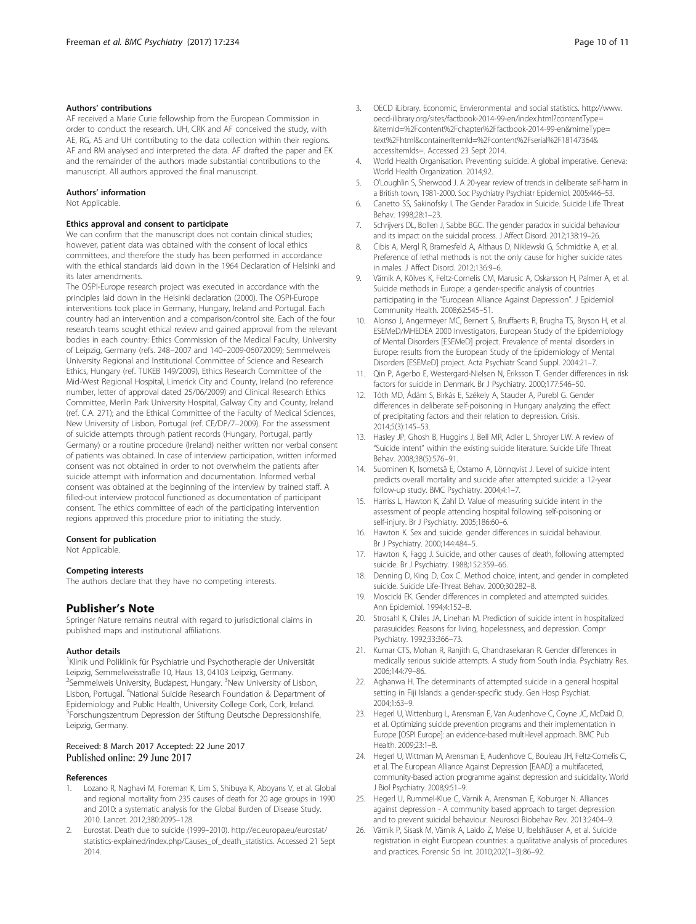#### <span id="page-9-0"></span>Authors' contributions

AF received a Marie Curie fellowship from the European Commission in order to conduct the research. UH, CRK and AF conceived the study, with AE, RG, AS and UH contributing to the data collection within their regions. AF and RM analysed and interpreted the data. AF drafted the paper and EK and the remainder of the authors made substantial contributions to the manuscript. All authors approved the final manuscript.

#### Authors' information

Not Applicable.

#### Ethics approval and consent to participate

We can confirm that the manuscript does not contain clinical studies; however, patient data was obtained with the consent of local ethics committees, and therefore the study has been performed in accordance with the ethical standards laid down in the 1964 Declaration of Helsinki and its later amendments.

The OSPI-Europe research project was executed in accordance with the principles laid down in the Helsinki declaration (2000). The OSPI-Europe interventions took place in Germany, Hungary, Ireland and Portugal. Each country had an intervention and a comparison/control site. Each of the four research teams sought ethical review and gained approval from the relevant bodies in each country: Ethics Commission of the Medical Faculty, University of Leipzig, Germany (refs. 248–2007 and 140–2009-06072009); Semmelweis University Regional and Institutional Committee of Science and Research Ethics, Hungary (ref. TUKEB 149/2009), Ethics Research Committee of the Mid-West Regional Hospital, Limerick City and County, Ireland (no reference number, letter of approval dated 25/06/2009) and Clinical Research Ethics Committee, Merlin Park University Hospital, Galway City and County, Ireland (ref. C.A. 271); and the Ethical Committee of the Faculty of Medical Sciences, New University of Lisbon, Portugal (ref. CE/DP/7–2009). For the assessment of suicide attempts through patient records (Hungary, Portugal, partly Germany) or a routine procedure (Ireland) neither written nor verbal consent of patients was obtained. In case of interview participation, written informed consent was not obtained in order to not overwhelm the patients after suicide attempt with information and documentation. Informed verbal consent was obtained at the beginning of the interview by trained staff. A filled-out interview protocol functioned as documentation of participant consent. The ethics committee of each of the participating intervention regions approved this procedure prior to initiating the study.

#### Consent for publication

Not Applicable.

#### Competing interests

The authors declare that they have no competing interests.

#### Publisher's Note

Springer Nature remains neutral with regard to jurisdictional claims in published maps and institutional affiliations.

#### Author details

<sup>1</sup> Klinik und Poliklinik für Psychiatrie und Psychotherapie der Universität Leipzig, Semmelweisstraße 10, Haus 13, 04103 Leipzig, Germany. <sup>2</sup>Semmelweis University, Budapest, Hungary. <sup>3</sup>New University of Lisbon, Lisbon, Portugal. <sup>4</sup>National Suicide Research Foundation & Department of Epidemiology and Public Health, University College Cork, Cork, Ireland. <sup>5</sup>Forschungszentrum Depression der Stiftung Deutsche Depressionshilfe, Leipzig, Germany.

#### Received: 8 March 2017 Accepted: 22 June 2017 Published online: 29 June 2017

#### References

- 1. Lozano R, Naghavi M, Foreman K, Lim S, Shibuya K, Aboyans V, et al. Global and regional mortality from 235 causes of death for 20 age groups in 1990 and 2010: a systematic analysis for the Global Burden of Disease Study. 2010. Lancet. 2012;380:2095–128.
- 2. Eurostat. Death due to suicide (1999–2010). [http://ec.europa.eu/eurostat/](http://ec.europa.eu/eurostat/statistics-explained/index.php/Causes_of_death_statistics) [statistics-explained/index.php/Causes\\_of\\_death\\_statistics.](http://ec.europa.eu/eurostat/statistics-explained/index.php/Causes_of_death_statistics) Accessed 21 Sept 2014.
- 3. OECD iLibrary. Economic, Envieronmental and social statistics. [http://www.](http://www.oecd-ilibrary.org/sites/factbook-2014-99-en/index.html?contentType=&itemId=%2Fcontent%2Fchapter%2Ffactbook-2014-99-en&mimeType=text%2Fhtml&containerItemId=%2Fcontent%2Fserial%2F18147364&accessItemIds=) [oecd-ilibrary.org/sites/factbook-2014-99-en/index.html?contentType=](http://www.oecd-ilibrary.org/sites/factbook-2014-99-en/index.html?contentType=&itemId=%2Fcontent%2Fchapter%2Ffactbook-2014-99-en&mimeType=text%2Fhtml&containerItemId=%2Fcontent%2Fserial%2F18147364&accessItemIds=) [&itemId=%2Fcontent%2Fchapter%2Ffactbook-2014-99-en&mimeType=](http://www.oecd-ilibrary.org/sites/factbook-2014-99-en/index.html?contentType=&itemId=%2Fcontent%2Fchapter%2Ffactbook-2014-99-en&mimeType=text%2Fhtml&containerItemId=%2Fcontent%2Fserial%2F18147364&accessItemIds=) [text%2Fhtml&containerItemId=%2Fcontent%2Fserial%2F18147364&](http://www.oecd-ilibrary.org/sites/factbook-2014-99-en/index.html?contentType=&itemId=%2Fcontent%2Fchapter%2Ffactbook-2014-99-en&mimeType=text%2Fhtml&containerItemId=%2Fcontent%2Fserial%2F18147364&accessItemIds=) [accessItemIds=.](http://www.oecd-ilibrary.org/sites/factbook-2014-99-en/index.html?contentType=&itemId=%2Fcontent%2Fchapter%2Ffactbook-2014-99-en&mimeType=text%2Fhtml&containerItemId=%2Fcontent%2Fserial%2F18147364&accessItemIds=) Accessed 23 Sept 2014.
- 4. World Health Organisation. Preventing suicide. A global imperative. Geneva: World Health Organization. 2014;92.
- 5. O'Loughlin S, Sherwood J. A 20-year review of trends in deliberate self-harm in a British town, 1981-2000. Soc Psychiatry Psychiatr Epidemiol. 2005:446–53.
- 6. Canetto SS, Sakinofsky I. The Gender Paradox in Suicide. Suicide Life Threat Behav. 1998;28:1–23.
- 7. Schrijvers DL, Bollen J, Sabbe BGC. The gender paradox in suicidal behaviour and its impact on the suicidal process. J Affect Disord. 2012;138:19–26.
- 8. Cibis A, Mergl R, Bramesfeld A, Althaus D, Niklewski G, Schmidtke A, et al. Preference of lethal methods is not the only cause for higher suicide rates in males. J Affect Disord. 2012;136:9–6.
- 9. Värnik A, Kõlves K, Feltz-Cornelis CM, Marusic A, Oskarsson H, Palmer A, et al. Suicide methods in Europe: a gender-specific analysis of countries participating in the "European Alliance Against Depression". J Epidemiol Community Health. 2008;62:545–51.
- 10. Alonso J, Angermeyer MC, Bernert S, Bruffaerts R, Brugha TS, Bryson H, et al. ESEMeD/MHEDEA 2000 Investigators, European Study of the Epidemiology of Mental Disorders [ESEMeD] project. Prevalence of mental disorders in Europe: results from the European Study of the Epidemiology of Mental Disorders [ESEMeD] project. Acta Psychiatr Scand Suppl. 2004:21–7.
- 11. Qin P, Agerbo E, Westergard-Nielsen N, Eriksson T. Gender differences in risk factors for suicide in Denmark. Br J Psychiatry. 2000;177:546–50.
- 12. Tóth MD, Ádám S, Birkás E, Székely A, Stauder A, Purebl G. Gender differences in deliberate self-poisoning in Hungary analyzing the effect of precipitating factors and their relation to depression. Crisis. 2014;5(3):145–53.
- 13. Hasley JP, Ghosh B, Huggins J, Bell MR, Adler L, Shroyer LW. A review of "Suicide intent" within the existing suicide literature. Suicide Life Threat Behav. 2008;38(5):576–91.
- 14. Suominen K, Isometsä E, Ostamo A, Lönnqvist J. Level of suicide intent predicts overall mortality and suicide after attempted suicide: a 12-year follow-up study. BMC Psychiatry. 2004;4:1–7.
- 15. Harriss L, Hawton K, Zahl D. Value of measuring suicide intent in the assessment of people attending hospital following self-poisoning or self-injury. Br J Psychiatry. 2005;186:60–6.
- 16. Hawton K. Sex and suicide. gender differences in suicidal behaviour. Br J Psychiatry. 2000;144:484–5.
- 17. Hawton K, Fagg J. Suicide, and other causes of death, following attempted suicide. Br J Psychiatry. 1988;152:359–66.
- 18. Denning D, King D, Cox C. Method choice, intent, and gender in completed suicide. Suicide Life-Threat Behav. 2000;30:282–8.
- 19. Moscicki EK. Gender differences in completed and attempted suicides. Ann Epidemiol. 1994;4:152–8.
- 20. Strosahl K, Chiles JA, Linehan M. Prediction of suicide intent in hospitalized parasuicides: Reasons for living, hopelessness, and depression. Compr Psychiatry. 1992;33:366–73.
- 21. Kumar CTS, Mohan R, Ranjith G, Chandrasekaran R. Gender differences in medically serious suicide attempts. A study from South India. Psychiatry Res. 2006;144:79–86.
- 22. Aghanwa H. The determinants of attempted suicide in a general hospital setting in Fiji Islands: a gender-specific study. Gen Hosp Psychiat. 2004;1:63–9.
- 23. Hegerl U, Wittenburg L, Arensman E, Van Audenhove C, Coyne JC, McDaid D, et al. Optimizing suicide prevention programs and their implementation in Europe [OSPI Europe]: an evidence-based multi-level approach. BMC Pub Health. 2009;23:1–8.
- 24. Hegerl U, Wittman M, Arensman E, Audenhove C, Bouleau JH, Feltz-Cornelis C, et al. The European Alliance Against Depression [EAAD]: a multifaceted, community-based action programme against depression and suicidality. World J Biol Psychiatry. 2008;9:51–9.
- 25. Hegerl U, Rummel-Klue C, Värnik A, Arensman E, Koburger N. Alliances against depression - A community based approach to target depression and to prevent suicidal behaviour. Neurosci Biobehav Rev. 2013:2404–9.
- 26. Värnik P, Sisask M, Värnik A, Laido Z, Meise U, Ibelshäuser A, et al. Suicide registration in eight European countries: a qualitative analysis of procedures and practices. Forensic Sci Int. 2010;202(1–3):86–92.